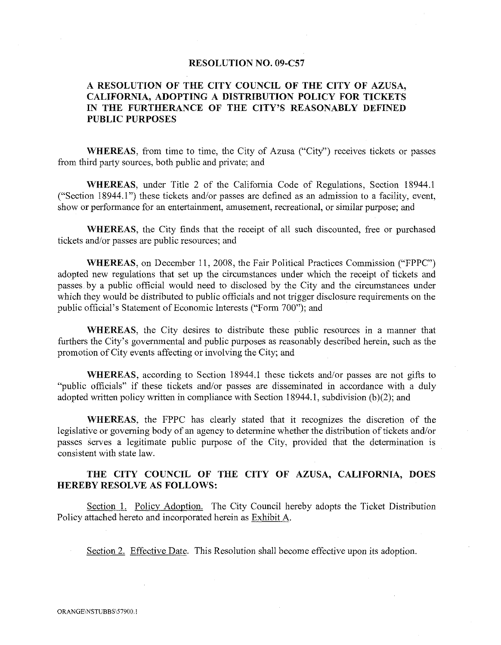### RESOLUTION NO. 09-C57

# A RESOLUTION OF THE CITY COUNCIL OF THE CITY OF AZUSA, CALIFORNIA, ADOPTING A DISTRIBUTION POLICY FOR TICKETS IN THE FURTHERANCE OF THE CITY'S REASONABLY DEFINED PUBLIC PURPOSES

WHEREAS, from time to time, the City of Azusa ("City") receives tickets or passes from third party sources, both public and private; and

WHEREAS, under Title 2 of the California Code of Regulations, Section 18944.1 ("Section 18944.1") these tickets and/or passes are defined as an admission to a facility, event, show or performance for an entertainment, amusement, recreational, or similar purpose; and

WHEREAS, the City finds that the receipt of all such discounted, free or purchased tickets and/or passes are public resources; and

WHEREAS, on December 11, 2008, the Fair Political Practices Commission ("FPPC") adopted new regulations that set up the circumstances under which the receipt of tickets and passes. by a public official would need to disclosed by the City and the circumstances under which they would be distributed to public officials and not trigger disclosure requirements on the public official's Statement of Economic Interests ("Form 700"); and

WHEREAS, the City desires to distribute these public resources in a manner that furthers the City's governmental and public purposes as reasonably described herein, such as the promotion of City events affecting or involving the City; and

WHEREAS, according to Section 18944.1 these tickets and/or passes are not gifts to "public officials" if these tickets and/or passes are disseminated in accordance with a duly adopted written policy written in compliance with Section 18944.1, subdivision  $(b)(2)$ ; and

WHEREAS, the FPPC has clearly stated that it recognizes the discretion of the legislative or governing body of an agency to detennine whether the distribution of tickets and/or passes serves a legitimate public purpose of the City, provided that the determination is consistent with state law.

## THE CITY COUNCIL OF THE CITY OF AZUSA, CALIFORNIA, DOES HEREBY RESOLVE AS FOLLOWS:

Section I. Policy Adoption. The City Council hereby adopts the Ticket Distribution Policy attached hereto and incorporated herein as Exhibit A.

Section 2. Effective Date. This Resolution shall become effective upon its adoption.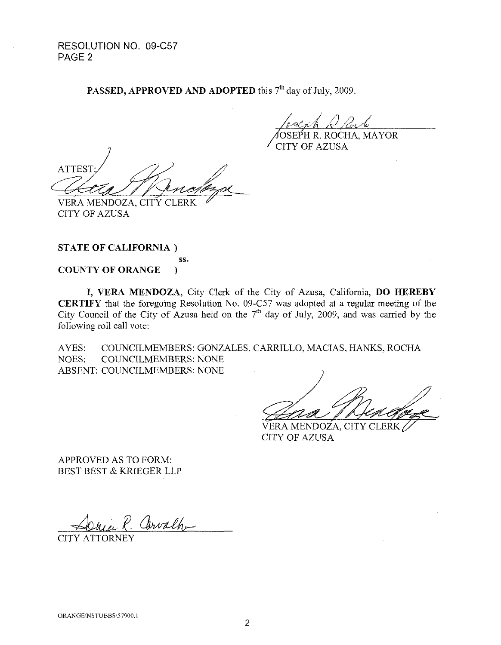RESOLUTION NO. 09-C57 PAGE<sub>2</sub>

PASSED, APPROVED AND ADOPTED this 7<sup>th</sup> day of July, 2009.

OSEPH R. ROCHA, MAYOR

CITY OF AZUSA

**ATTEST** VERA MENDOZA, CITY CLERK

ss.

CITY OF AZUSA

**STATE OF CALIFORNIA)** 

**COUNTY OF ORANGE** )

**I, VERA MENDOZA,** City Clerk of the City of Azusa, California, **DO HEREBY CERTIFY** that the foregoing Resolution No. 09-C57 was adopted at a regular meeting of the City Council of the City of Azusa held on the  $7<sup>th</sup>$  day of July, 2009, and was carried by the following roll call vote:

A YES: COUNCILMEMBERS: GONZALES, CARRILLO, MACIAS, HANKS, ROCHA NOES: COUNCILMEMBERS: NONE ABSENT: COUNCILMEMBERS: NONE

VERA MENDOZA, CITY CLERK CITY OF AZUSA

APPROVED AS TO FORM: BEST BEST & KRIEGER LLP

P. Carvalh

CITY ATTORNEY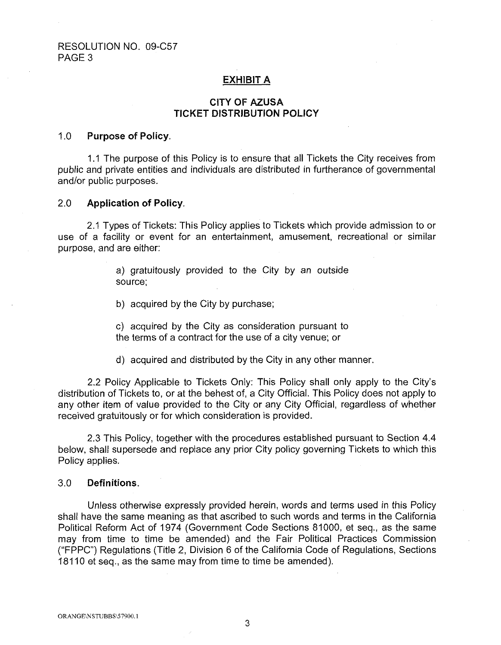## **EXHIBIT A**

## **CITY OF AZUSA TICKET DISTRIBUTION POLICY**

### 1.0 **Purpose of Policy.**

1.1 The purpose of this Policy is to ensure that all Tickets the City receives from public and private entities and individuals are distributed in furtherance of governmental and/or public purposes.

### 2.0 **Application of Policy.**

2.1 Types of Tickets: This Policy applies to Tickets which provide admission to or use of a facility or event for an entertainment, amusement, recreational or similar purpose, and are either:

> a) gratuitously provided to the City by an outside source;

b) acquired by the City by purchase;

c) acquired by the City as consideration pursuant to the terms of a contract for the use of a city venue; or

d) acquired and distributed by the City in any other manner.

2.2 Policy Applicable to Tickets Only: This Policy shall only apply to the City's distribution of Tickets to, or at the behest of, a City Official. This Policy does not apply to any other item of value provided to the City or any City Official, regardless of whether received gratuitously or for which consideration is provided.

2.3 This Policy, together with the procedures established pursuant to Section 4.4 below, shall supersede and replace any prior City policy governing Tickets to which this Policy applies.

## 3.0 **Definitions.**

Unless otherwise expressly provided herein, words and terms used in this Policy shall have the same meaning as that ascribed to such words and terms in the California Political Reform Act of 1974 (Government Code Sections 81000, et seq., as the same may from time to time be amended) and the Fair Political Practices Commission ("FPPC") Regulations (Title 2, Division 6 of the California Code of Regulations, Sections 18110 et seq., as the same may from time to time be amended).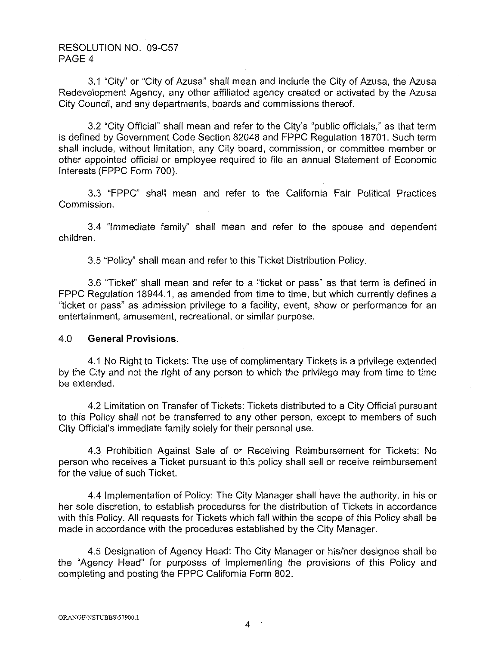## RESOLUTION NO. 09-C57 PAGE 4

3.1 "City" or "City of Azusa" shall mean and include the City of Azusa, the Azusa Redevelopment Agency, any other affiliated agency created or activated by the Azusa City Council, and any departments, boards and commissions thereof.

3.2 "City Official" shall mean and refer to the City's "public officials," as that term is defined by Government Code Section 82048 and FPPC Regulation 18701. Such term shall include, without limitation, any City board, commission, or committee member or other appointed official or employee required to file an annual Statement of Economic Interests (FPPC Form 700).

3.3 "FPPC" shall mean and refer to the California Fair Political Practices Commission.

3.4 "Immediate family'' shall mean and refer to the spouse and dependent children.

3.5 "Policy" shall mean and refer to this Ticket Distribution Policy.

3.6 "Ticket" shall mean and refer to a "ticket or pass" as that term is defined in FPPC Regulation 18944.1, as amended from time to time, but which currently defines a "ticket or pass" as admission privilege to a facility, event, show or performance for an entertainment, amusement, recreational, or similar purpose.

## 4.0 **General Provisions.**

4.1 No Right to Tickets: The use of complimentary Tickets is a privilege extended by the City and not the right of any person to which the privilege may from time to time be extended.

4.2 Limitation on Transfer of Tickets: Tickets distributed to a City Official pursuant to this Policy shall not be transferred to any other person, except to members of such City Official's immediate family solely for their personal use.

4.3 Prohibition Against Sale of or Receiving Reimbursement for Tickets: No person who receives a Ticket pursuant to this policy shall sell or receive reimbursement for the value of such Ticket.

4.4 Implementation of Policy: The City Manager shall have the authority, in his or her sole discretion, to establish procedures for the distribution of Tickets in accordance with this Policy. All requests for Tickets which fall within the scope of this Policy shall be made in accordance with the procedures established by the City Manager.

4.5 Designation of Agency Head: The City Manager or his/her designee shall be the "Agency Head" for purposes of implementing the provisions of this Policy and completing and posting the FPPC California Form 802.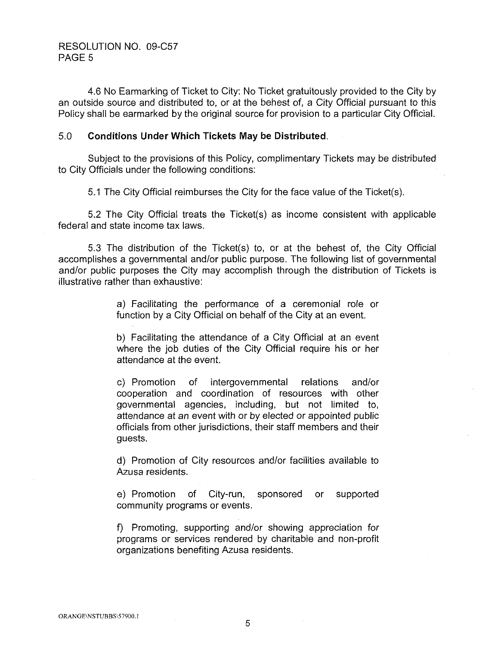4.6 No Earmarking of Ticket to City: No Ticket gratuitously provided to the City by an outside source and distributed to, or at the behest of, a City Official pursuant to this Policy shall be earmarked by the original source for provision to a particular City Official.

## 5.0 **Conditions Under Which Tickets May be Distributed.**

Subject to the provisions of this Policy, complimentary Tickets may be distributed to City Officials under the following conditions:

5.1 The City Official reimburses the City for the face value of the Ticket(s).

5.2 The City Official treats the Ticket(s) as income consistent with applicable federal and state income tax laws.

5.3 The distribution of the Ticket(s) to, or at the behest of, the City Official accomplishes a governmental and/or public purpose. The following list of governmental and/or public purposes the City may accomplish through the distribution of Tickets is illustrative rather than exhaustive:

> a) Facilitating the performance of a ceremonial role or function by a City Official on behalf of the City at an event.

> b) Facilitating the attendance of a City Official at an event where the job duties of the City Official require his or her attendance at the event.

> c) Promotion of intergovernmental relations and/or cooperation and coordination of resources with other governmental agencies, including, but not limited to, attendance at an event with or by elected or appointed public officials from other jurisdictions, their staff members and their guests.

> d) Promotion of City resources and/or facilities available to Azusa residents.

> e) Promotion of City-run, sponsored or supported community programs or events.

> f) Promoting, supporting and/or showing appreciation for programs or services rendered by charitable and non-profit organizations benefiting Azusa residents.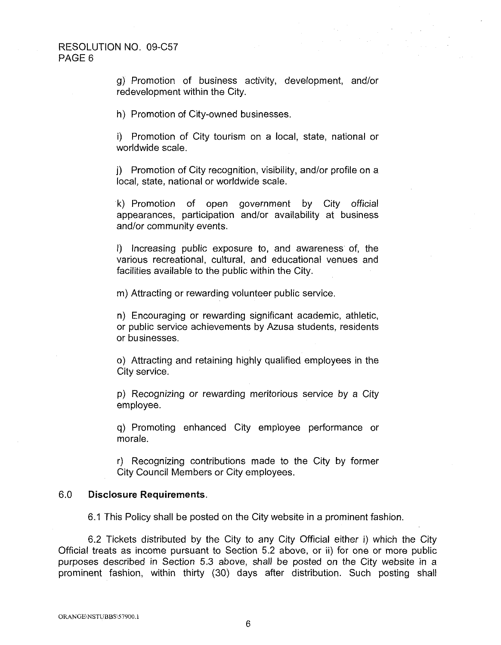g) Promotion of business activity, development, and/or redevelopment within the City.

h) Promotion of City-owned businesses.

i) Promotion of City tourism on a local, state, national or worldwide scale.

j) Promotion of City recognition, visibility, and/or profile on a local, state, national or worldwide scale.

k) Promotion of open government by City official appearances, participation and/or availability at business and/or community events.

I) Increasing public exposure to, and awareness of, the various recreational, cultural, and educational venues and facilities available to the public within the City.

m) Attracting or rewarding volunteer public service.

n) Encouraging or rewarding significant academic, athletic, or public service achievements by Azusa students, residents or businesses.

o) Attracting and retaining highly qualified employees in the City service.

p) Recognizing or rewarding meritorious service by a City employee.

q) Promoting enhanced City employee performance or morale.

r) Recognizing contributions made to the City by former City Council Members or City employees.

### 6.0 **Disclosure Requirements.**

6.1 This Policy shall be posted on the City website in a prominent fashion.

6.2 Tickets distributed by the City to any City Official either i) which the City Official treats as income pursuant to Section 5.2 above, or ii) for one or more public purposes described in Section 5.3 above, shall be posted on the City website in a prominent fashion, within thirty (30) days after distribution. Such posting shall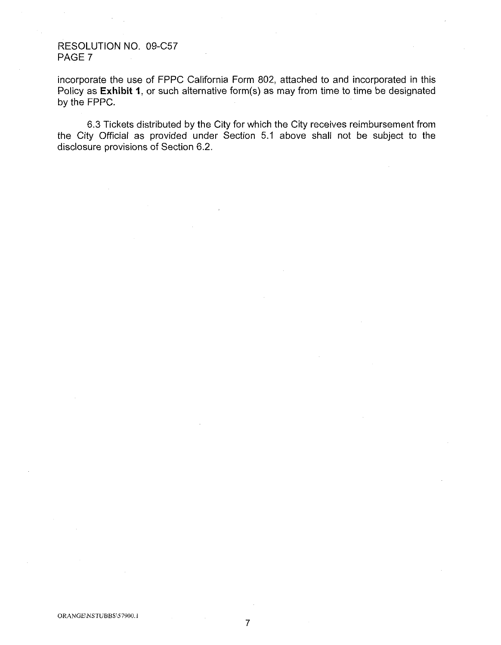## RESOLUTION NO. 09-C57 PAGE 7

incorporate the use of FPPC California Form 802, attached to and incorporated in this Policy as **Exhibit 1**, or such alternative form(s) as may from time to time be designated by the FPPC.

6.3 Tickets distributed by the City for which the City receives reimbursement from the City Official as provided under Section 5.1 above shall not be subject to the disclosure provisions of Section 6.2.

7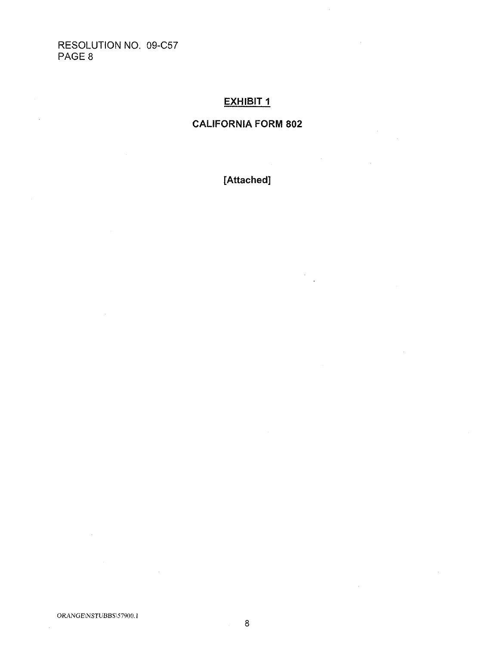RESOLUTION NO. 09-C57 PAGE 8

 $\bar{z}$ 

 $\sim$ 

# **EXHIBIT 1**

# **CALIFORNIA FORM 802**

**[Attached]** 

 $\bar{z}$ 

8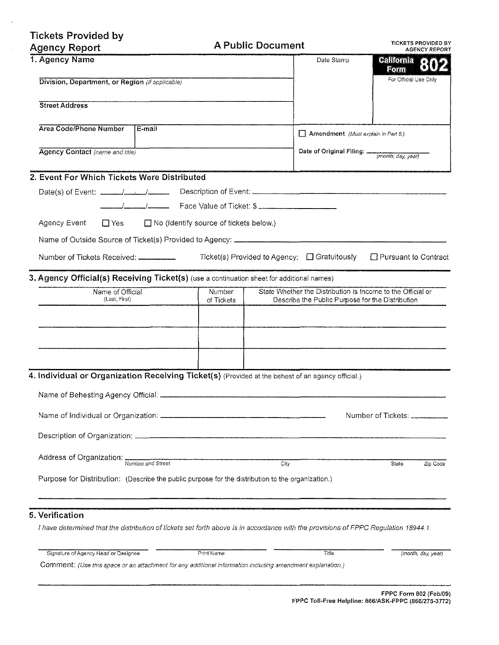| <b>Tickets Provided by</b><br><b>Agency Report</b>                                                                                  |                                                                                                                                         | <b>A Public Document</b>                     | <b>TICKETS PROVIDED BY</b><br><b>AGENCY REPORT</b> |  |
|-------------------------------------------------------------------------------------------------------------------------------------|-----------------------------------------------------------------------------------------------------------------------------------------|----------------------------------------------|----------------------------------------------------|--|
| 1. Agency Name                                                                                                                      |                                                                                                                                         | Date Stamp                                   | <b>California</b>                                  |  |
| Division, Department, or Region (if applicable)                                                                                     |                                                                                                                                         |                                              | Form<br>For Official Use Only                      |  |
| <b>Street Address</b>                                                                                                               |                                                                                                                                         |                                              |                                                    |  |
| <b>Area Code/Phone Number</b><br>E-mail                                                                                             |                                                                                                                                         | Amendment (Must explain in Part 5.)          |                                                    |  |
| Agency Contact (name and title)                                                                                                     |                                                                                                                                         |                                              | Date of Original Filing:<br>(month, day, year)     |  |
| 2. Event For Which Tickets Were Distributed                                                                                         |                                                                                                                                         |                                              |                                                    |  |
|                                                                                                                                     |                                                                                                                                         |                                              |                                                    |  |
|                                                                                                                                     |                                                                                                                                         |                                              |                                                    |  |
| Agency Event<br>$\Box$ Yes                                                                                                          | $\Box$ No (Identify source of tickets below.)                                                                                           |                                              |                                                    |  |
|                                                                                                                                     |                                                                                                                                         |                                              |                                                    |  |
|                                                                                                                                     |                                                                                                                                         | Ticket(s) Provided to Agency: □ Gratuitously | □ Pursuant to Contract                             |  |
| 3. Agency Official(s) Receiving Ticket(s) (use a continuation sheet for additional names)                                           |                                                                                                                                         |                                              |                                                    |  |
| Name of Official<br>(Last, First)                                                                                                   | State Whether the Distribution is Income to the Official or<br>Number<br>Describe the Public Purpose for the Distribution<br>of Tickets |                                              |                                                    |  |
|                                                                                                                                     |                                                                                                                                         |                                              |                                                    |  |
|                                                                                                                                     |                                                                                                                                         |                                              |                                                    |  |
|                                                                                                                                     |                                                                                                                                         |                                              |                                                    |  |
|                                                                                                                                     |                                                                                                                                         |                                              |                                                    |  |
| 4. Individual or Organization Receiving Ticket(s) (Provided at the behest of an agency official.)                                   |                                                                                                                                         |                                              |                                                    |  |
|                                                                                                                                     |                                                                                                                                         |                                              |                                                    |  |
|                                                                                                                                     |                                                                                                                                         |                                              |                                                    |  |
|                                                                                                                                     |                                                                                                                                         |                                              | Number of Tickets: _________                       |  |
|                                                                                                                                     |                                                                                                                                         |                                              |                                                    |  |
| Address of Organization: Number and Street                                                                                          |                                                                                                                                         | City                                         | State<br>Zip Code                                  |  |
| Purpose for Distribution: (Describe the public purpose for the distribution to the organization.)                                   |                                                                                                                                         |                                              |                                                    |  |
| 5. Verification                                                                                                                     |                                                                                                                                         |                                              |                                                    |  |
| I have determined that the distribution of tickets set forth above is in accordance with the provisions of FPPC Regulation 18944.1. |                                                                                                                                         |                                              |                                                    |  |
| Signature of Agency Head or Designee                                                                                                | Print Name                                                                                                                              | Title                                        | (month, day, year)                                 |  |

 $\overline{z}$ 

 $\sim$